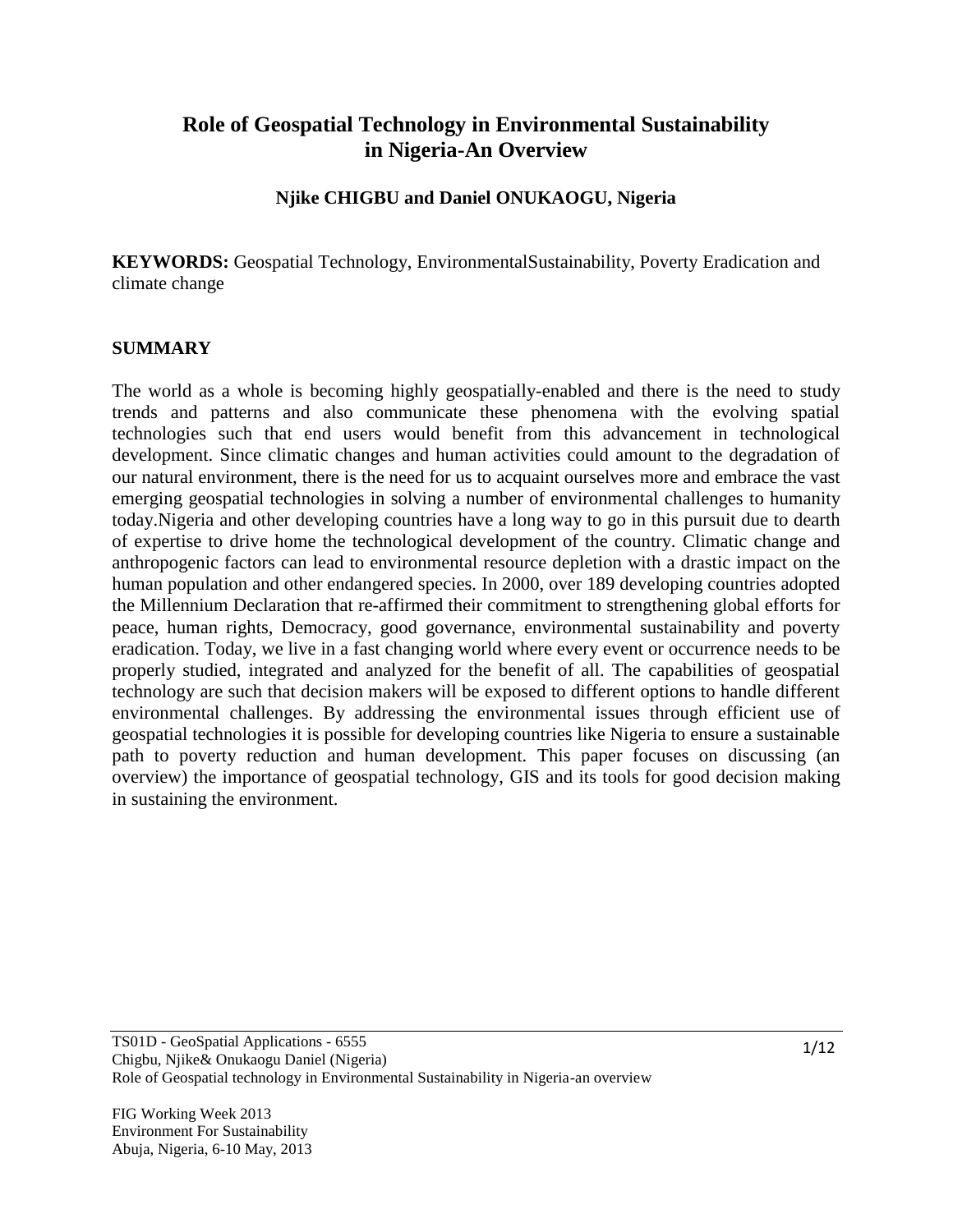# **Role of Geospatial Technology in Environmental Sustainability in Nigeria-An Overview**

# **Njike CHIGBU and Daniel ONUKAOGU, Nigeria**

**KEYWORDS:** Geospatial Technology, EnvironmentalSustainability, Poverty Eradication and climate change

#### **SUMMARY**

The world as a whole is becoming highly geospatially-enabled and there is the need to study trends and patterns and also communicate these phenomena with the evolving spatial technologies such that end users would benefit from this advancement in technological development. Since climatic changes and human activities could amount to the degradation of our natural environment, there is the need for us to acquaint ourselves more and embrace the vast emerging geospatial technologies in solving a number of environmental challenges to humanity today.Nigeria and other developing countries have a long way to go in this pursuit due to dearth of expertise to drive home the technological development of the country. Climatic change and anthropogenic factors can lead to environmental resource depletion with a drastic impact on the human population and other endangered species. In 2000, over 189 developing countries adopted the Millennium Declaration that re-affirmed their commitment to strengthening global efforts for peace, human rights, Democracy, good governance, environmental sustainability and poverty eradication. Today, we live in a fast changing world where every event or occurrence needs to be properly studied, integrated and analyzed for the benefit of all. The capabilities of geospatial technology are such that decision makers will be exposed to different options to handle different environmental challenges. By addressing the environmental issues through efficient use of geospatial technologies it is possible for developing countries like Nigeria to ensure a sustainable path to poverty reduction and human development. This paper focuses on discussing (an overview) the importance of geospatial technology, GIS and its tools for good decision making in sustaining the environment.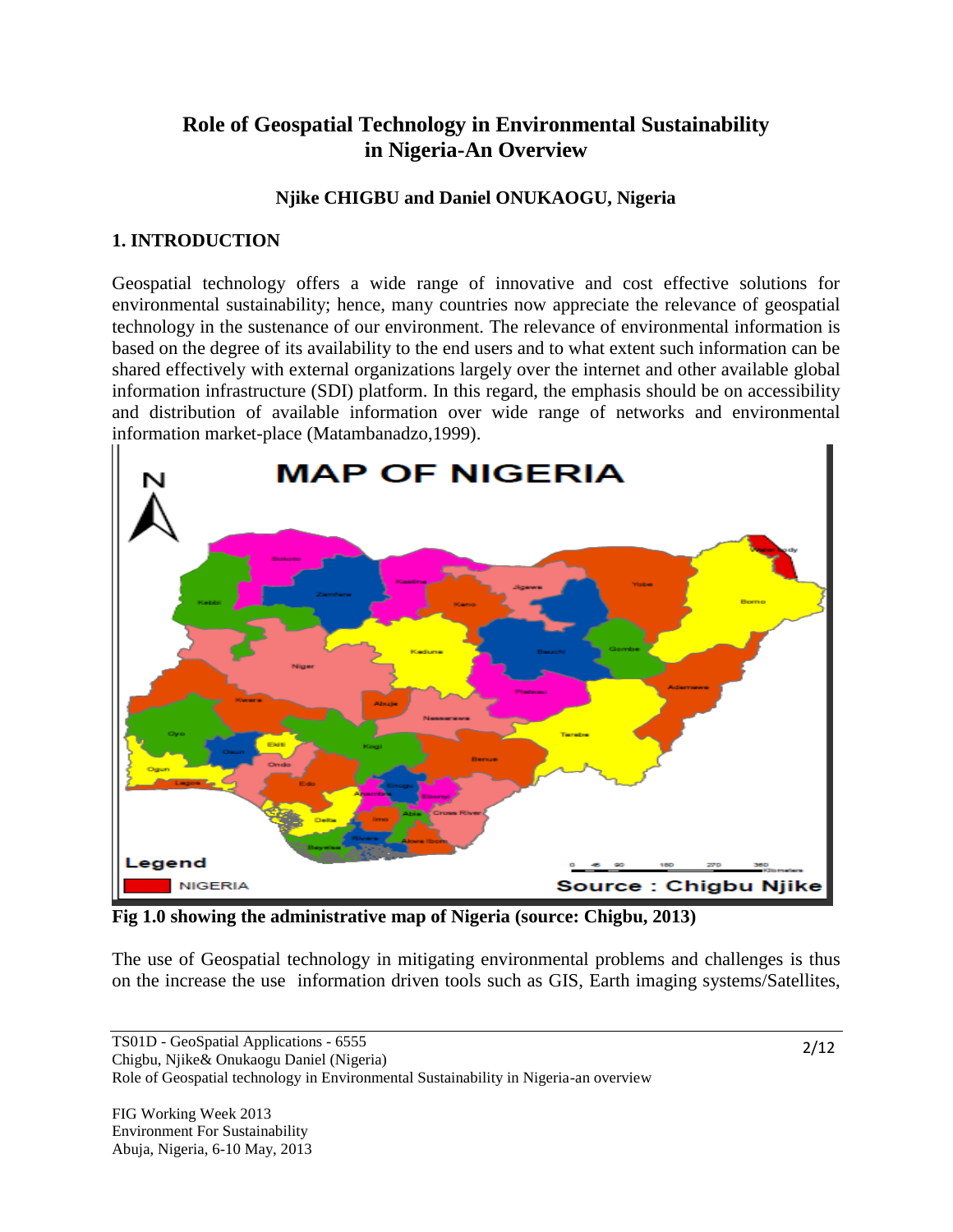# **Role of Geospatial Technology in Environmental Sustainability in Nigeria-An Overview**

# **Njike CHIGBU and Daniel ONUKAOGU, Nigeria**

# **1. INTRODUCTION**

Geospatial technology offers a wide range of innovative and cost effective solutions for environmental sustainability; hence, many countries now appreciate the relevance of geospatial technology in the sustenance of our environment. The relevance of environmental information is based on the degree of its availability to the end users and to what extent such information can be shared effectively with external organizations largely over the internet and other available global information infrastructure (SDI) platform. In this regard, the emphasis should be on accessibility and distribution of available information over wide range of networks and environmental information market-place (Matambanadzo,1999).



**Fig 1.0 showing the administrative map of Nigeria (source: Chigbu, 2013)**

The use of Geospatial technology in mitigating environmental problems and challenges is thus on the increase the use information driven tools such as GIS, Earth imaging systems/Satellites,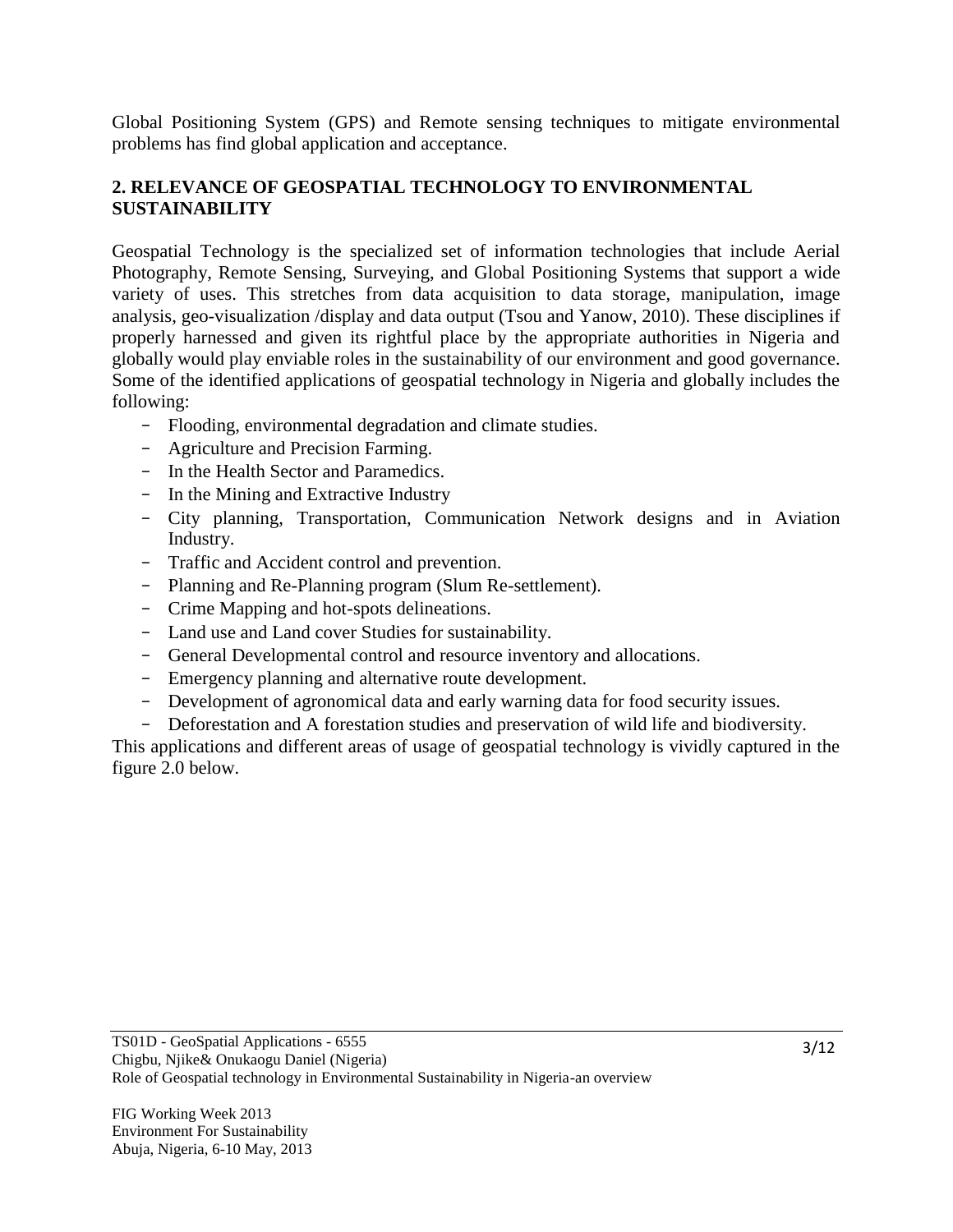Global Positioning System (GPS) and Remote sensing techniques to mitigate environmental problems has find global application and acceptance.

# **2. RELEVANCE OF GEOSPATIAL TECHNOLOGY TO ENVIRONMENTAL SUSTAINABILITY**

Geospatial Technology is the specialized set of information technologies that include Aerial Photography, Remote Sensing, Surveying, and Global Positioning Systems that support a wide variety of uses. This stretches from data acquisition to data storage, manipulation, image analysis, geo-visualization /display and data output (Tsou and Yanow, 2010). These disciplines if properly harnessed and given its rightful place by the appropriate authorities in Nigeria and globally would play enviable roles in the sustainability of our environment and good governance. Some of the identified applications of geospatial technology in Nigeria and globally includes the following:

- Flooding, environmental degradation and climate studies.
- Agriculture and Precision Farming.
- In the Health Sector and Paramedics.
- In the Mining and Extractive Industry
- City planning, Transportation, Communication Network designs and in Aviation Industry.
- Traffic and Accident control and prevention.
- Planning and Re-Planning program (Slum Re-settlement).
- Crime Mapping and hot-spots delineations.
- Land use and Land cover Studies for sustainability.
- General Developmental control and resource inventory and allocations.
- Emergency planning and alternative route development.
- Development of agronomical data and early warning data for food security issues.
- Deforestation and A forestation studies and preservation of wild life and biodiversity.

This applications and different areas of usage of geospatial technology is vividly captured in the figure 2.0 below.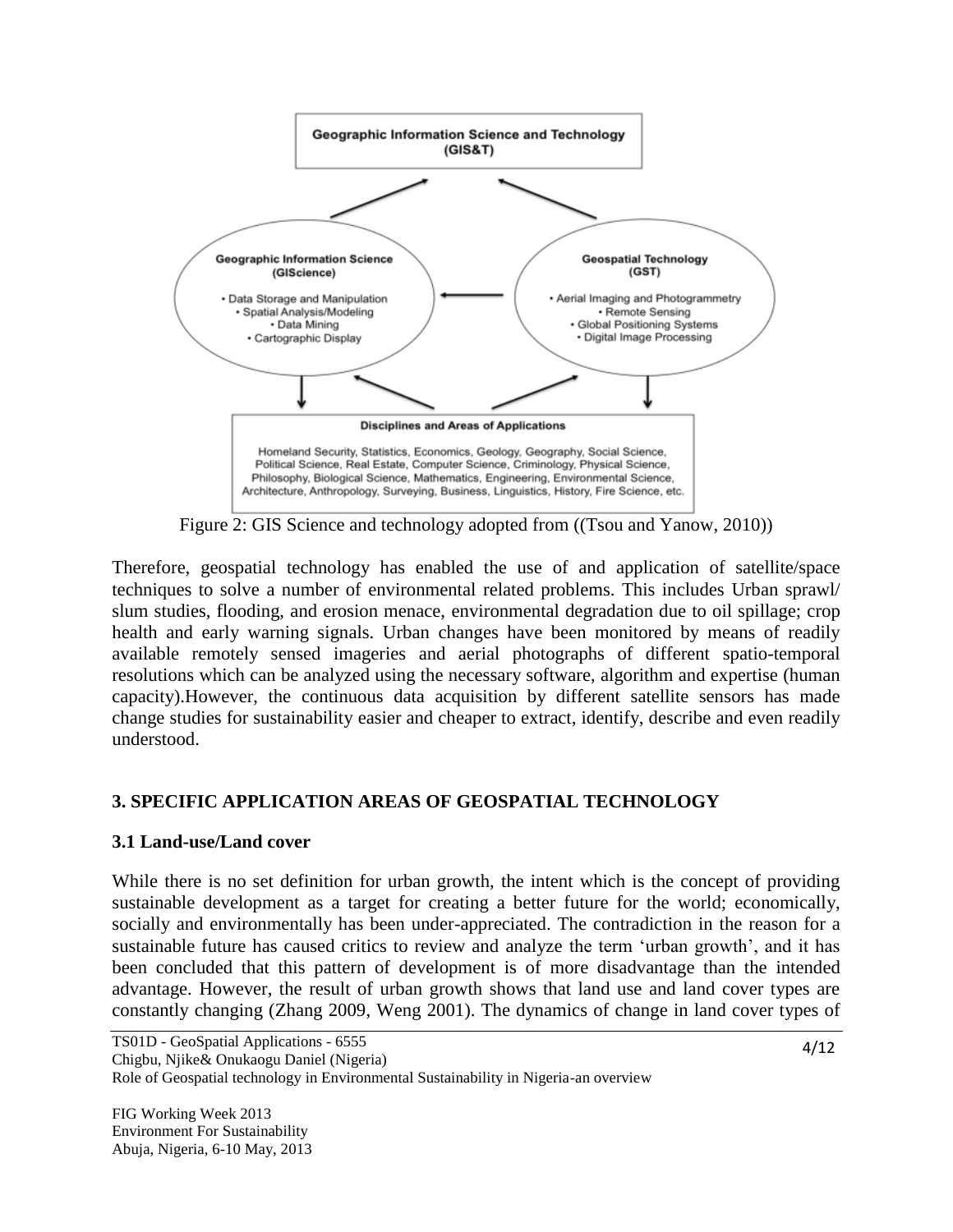

Figure 2: GIS Science and technology adopted from ((Tsou and Yanow, 2010))

Therefore, geospatial technology has enabled the use of and application of satellite/space techniques to solve a number of environmental related problems. This includes Urban sprawl/ slum studies, flooding, and erosion menace, environmental degradation due to oil spillage; crop health and early warning signals. Urban changes have been monitored by means of readily available remotely sensed imageries and aerial photographs of different spatio-temporal resolutions which can be analyzed using the necessary software, algorithm and expertise (human capacity).However, the continuous data acquisition by different satellite sensors has made change studies for sustainability easier and cheaper to extract, identify, describe and even readily understood.

# **3. SPECIFIC APPLICATION AREAS OF GEOSPATIAL TECHNOLOGY**

# **3.1 Land-use/Land cover**

While there is no set definition for urban growth, the intent which is the concept of providing sustainable development as a target for creating a better future for the world; economically, socially and environmentally has been under-appreciated. The contradiction in the reason for a sustainable future has caused critics to review and analyze the term 'urban growth', and it has been concluded that this pattern of development is of more disadvantage than the intended advantage. However, the result of urban growth shows that land use and land cover types are constantly changing (Zhang 2009, Weng 2001). The dynamics of change in land cover types of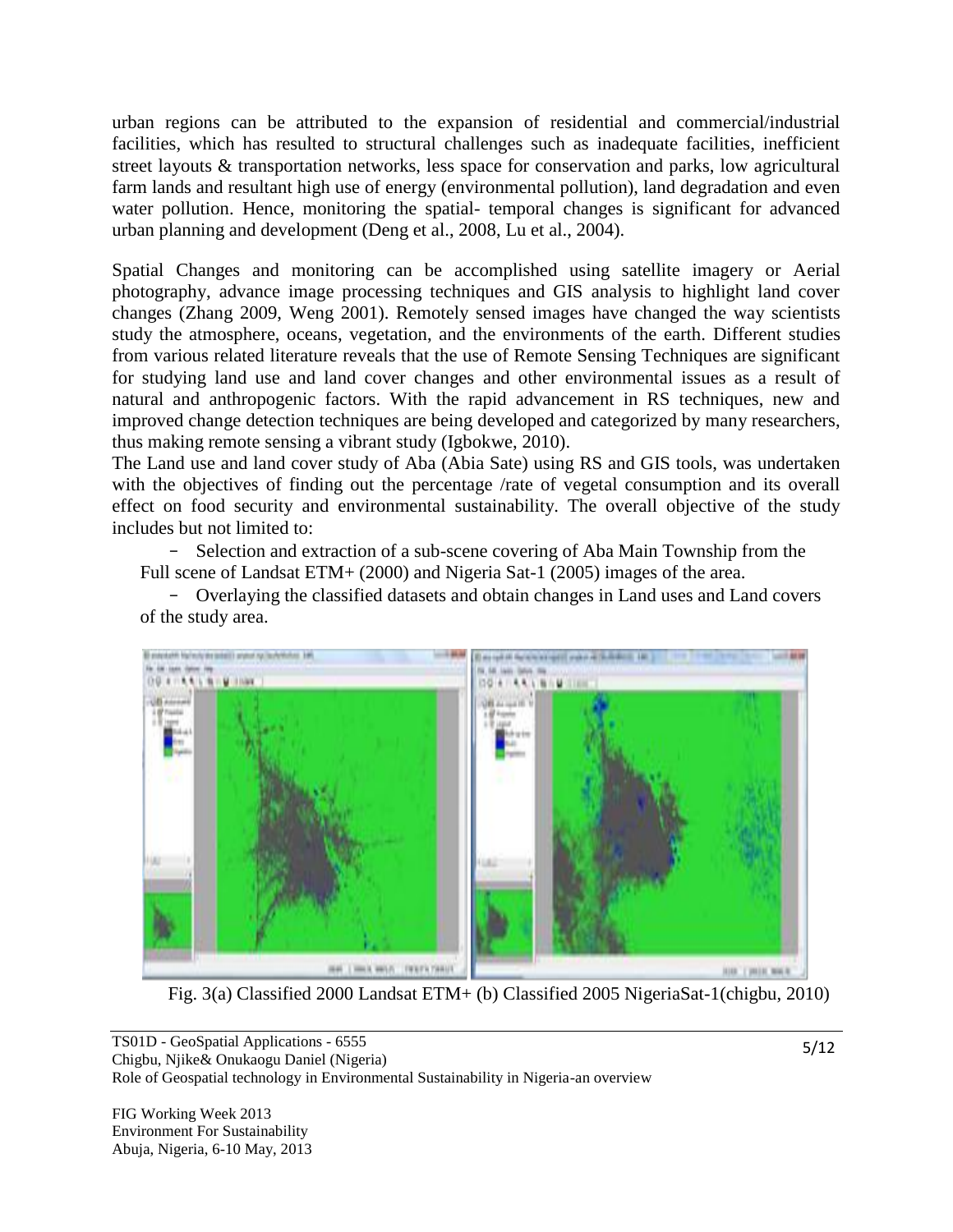urban regions can be attributed to the expansion of residential and commercial/industrial facilities, which has resulted to structural challenges such as inadequate facilities, inefficient street layouts & transportation networks, less space for conservation and parks, low agricultural farm lands and resultant high use of energy (environmental pollution), land degradation and even water pollution. Hence, monitoring the spatial- temporal changes is significant for advanced urban planning and development (Deng et al., 2008, Lu et al., 2004).

Spatial Changes and monitoring can be accomplished using satellite imagery or Aerial photography, advance image processing techniques and GIS analysis to highlight land cover changes (Zhang 2009, Weng 2001). Remotely sensed images have changed the way scientists study the atmosphere, oceans, vegetation, and the environments of the earth. Different studies from various related literature reveals that the use of Remote Sensing Techniques are significant for studying land use and land cover changes and other environmental issues as a result of natural and anthropogenic factors. With the rapid advancement in RS techniques, new and improved change detection techniques are being developed and categorized by many researchers, thus making remote sensing a vibrant study (Igbokwe, 2010).

The Land use and land cover study of Aba (Abia Sate) using RS and GIS tools, was undertaken with the objectives of finding out the percentage /rate of vegetal consumption and its overall effect on food security and environmental sustainability. The overall objective of the study includes but not limited to:

- Selection and extraction of a sub-scene covering of Aba Main Township from the Full scene of Landsat ETM+ (2000) and Nigeria Sat-1 (2005) images of the area.

- Overlaying the classified datasets and obtain changes in Land uses and Land covers of the study area.



Fig. 3(a) Classified 2000 Landsat ETM+ (b) Classified 2005 NigeriaSat-1(chigbu, 2010)

FIG Working Week 2013 Environment For Sustainability Abuja, Nigeria, 6-10 May, 2013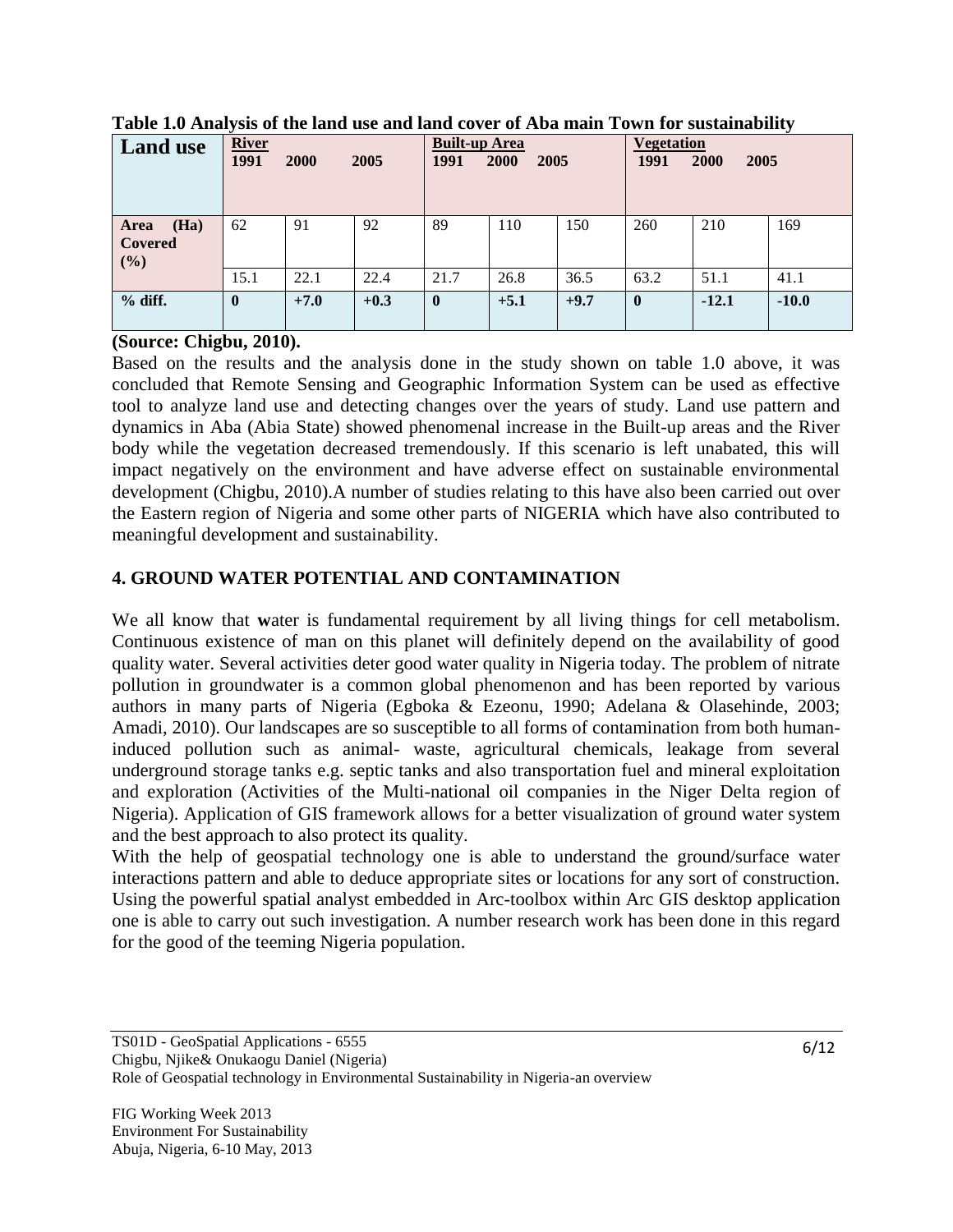| <b>Land use</b>                | <b>River</b><br>1991 | 2000   | 2005   | <b>Built-up Area</b><br>1991 | <b>2000</b><br>2005 |        | <b>Vegetation</b><br>1991 | 2000<br>2005 |         |
|--------------------------------|----------------------|--------|--------|------------------------------|---------------------|--------|---------------------------|--------------|---------|
| (Ha)<br>Area<br>Covered<br>(%) | 62                   | 91     | 92     | 89                           | 110                 | 150    | 260                       | 210          | 169     |
|                                | 15.1                 | 22.1   | 22.4   | 21.7                         | 26.8                | 36.5   | 63.2                      | 51.1         | 41.1    |
| $%$ diff.                      | $\bf{0}$             | $+7.0$ | $+0.3$ | $\bf{0}$                     | $+5.1$              | $+9.7$ | $\bf{0}$                  | $-12.1$      | $-10.0$ |

**Table 1.0 Analysis of the land use and land cover of Aba main Town for sustainability**

#### **(Source: Chigbu, 2010).**

Based on the results and the analysis done in the study shown on table 1.0 above, it was concluded that Remote Sensing and Geographic Information System can be used as effective tool to analyze land use and detecting changes over the years of study. Land use pattern and dynamics in Aba (Abia State) showed phenomenal increase in the Built-up areas and the River body while the vegetation decreased tremendously. If this scenario is left unabated, this will impact negatively on the environment and have adverse effect on sustainable environmental development (Chigbu, 2010).A number of studies relating to this have also been carried out over the Eastern region of Nigeria and some other parts of NIGERIA which have also contributed to meaningful development and sustainability.

# **4. GROUND WATER POTENTIAL AND CONTAMINATION**

We all know that **w**ater is fundamental requirement by all living things for cell metabolism. Continuous existence of man on this planet will definitely depend on the availability of good quality water. Several activities deter good water quality in Nigeria today. The problem of nitrate pollution in groundwater is a common global phenomenon and has been reported by various authors in many parts of Nigeria (Egboka & Ezeonu, 1990; Adelana & Olasehinde, 2003; Amadi, 2010). Our landscapes are so susceptible to all forms of contamination from both humaninduced pollution such as animal- waste, agricultural chemicals, leakage from several underground storage tanks e.g. septic tanks and also transportation fuel and mineral exploitation and exploration (Activities of the Multi-national oil companies in the Niger Delta region of Nigeria). Application of GIS framework allows for a better visualization of ground water system and the best approach to also protect its quality.

With the help of geospatial technology one is able to understand the ground/surface water interactions pattern and able to deduce appropriate sites or locations for any sort of construction. Using the powerful spatial analyst embedded in Arc-toolbox within Arc GIS desktop application one is able to carry out such investigation. A number research work has been done in this regard for the good of the teeming Nigeria population.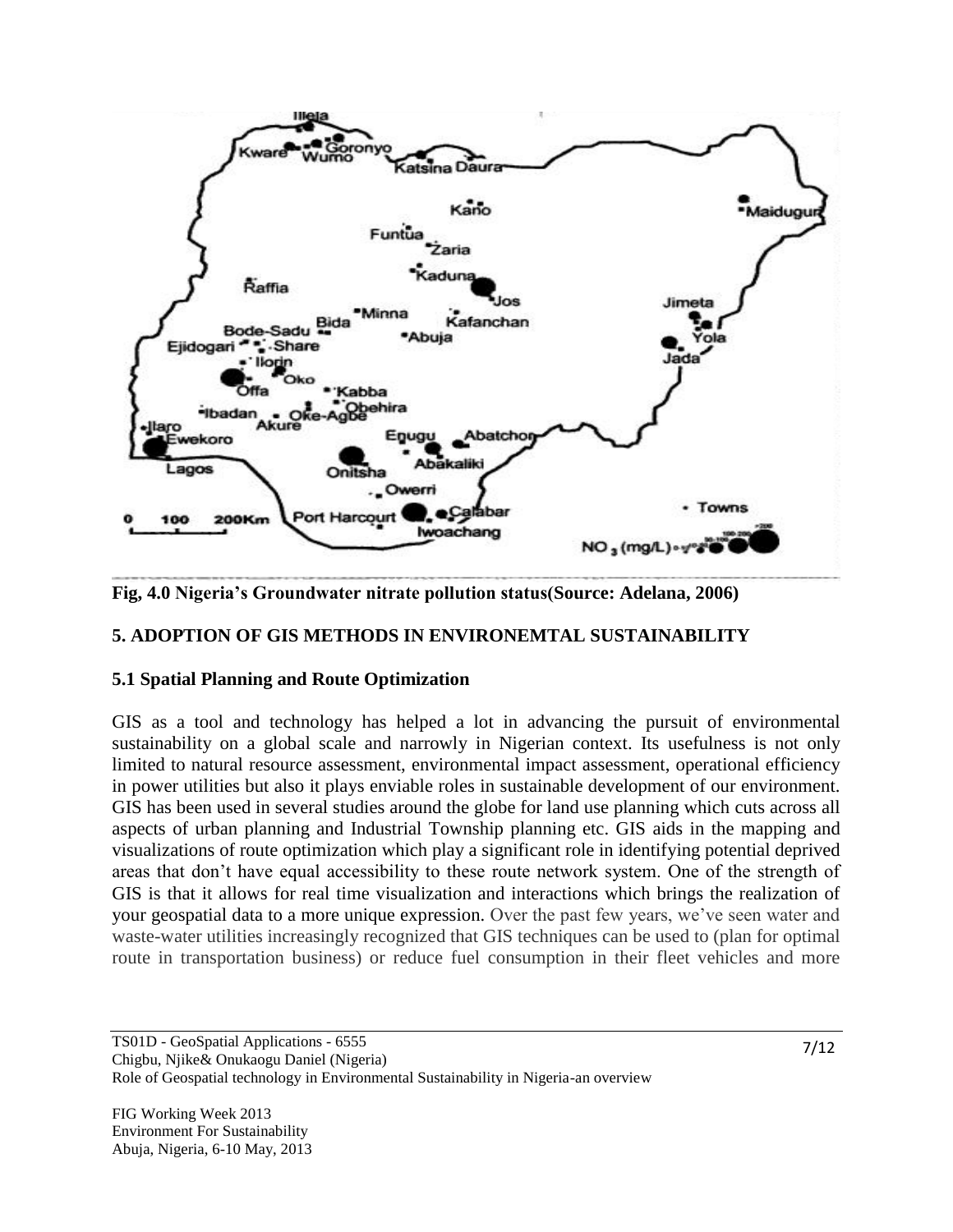

**Fig, 4.0 Nigeria's Groundwater nitrate pollution status(Source: Adelana, 2006)**

#### **5. ADOPTION OF GIS METHODS IN ENVIRONEMTAL SUSTAINABILITY**

#### **5.1 Spatial Planning and Route Optimization**

GIS as a tool and technology has helped a lot in advancing the pursuit of environmental sustainability on a global scale and narrowly in Nigerian context. Its usefulness is not only limited to natural resource assessment, environmental impact assessment, operational efficiency in power utilities but also it plays enviable roles in sustainable development of our environment. GIS has been used in several studies around the globe for land use planning which cuts across all aspects of urban planning and Industrial Township planning etc. GIS aids in the mapping and visualizations of route optimization which play a significant role in identifying potential deprived areas that don't have equal accessibility to these route network system. One of the strength of GIS is that it allows for real time visualization and interactions which brings the realization of your geospatial data to a more unique expression. Over the past few years, we've seen water and waste-water utilities increasingly recognized that GIS techniques can be used to (plan for optimal route in transportation business) or reduce fuel consumption in their fleet vehicles and more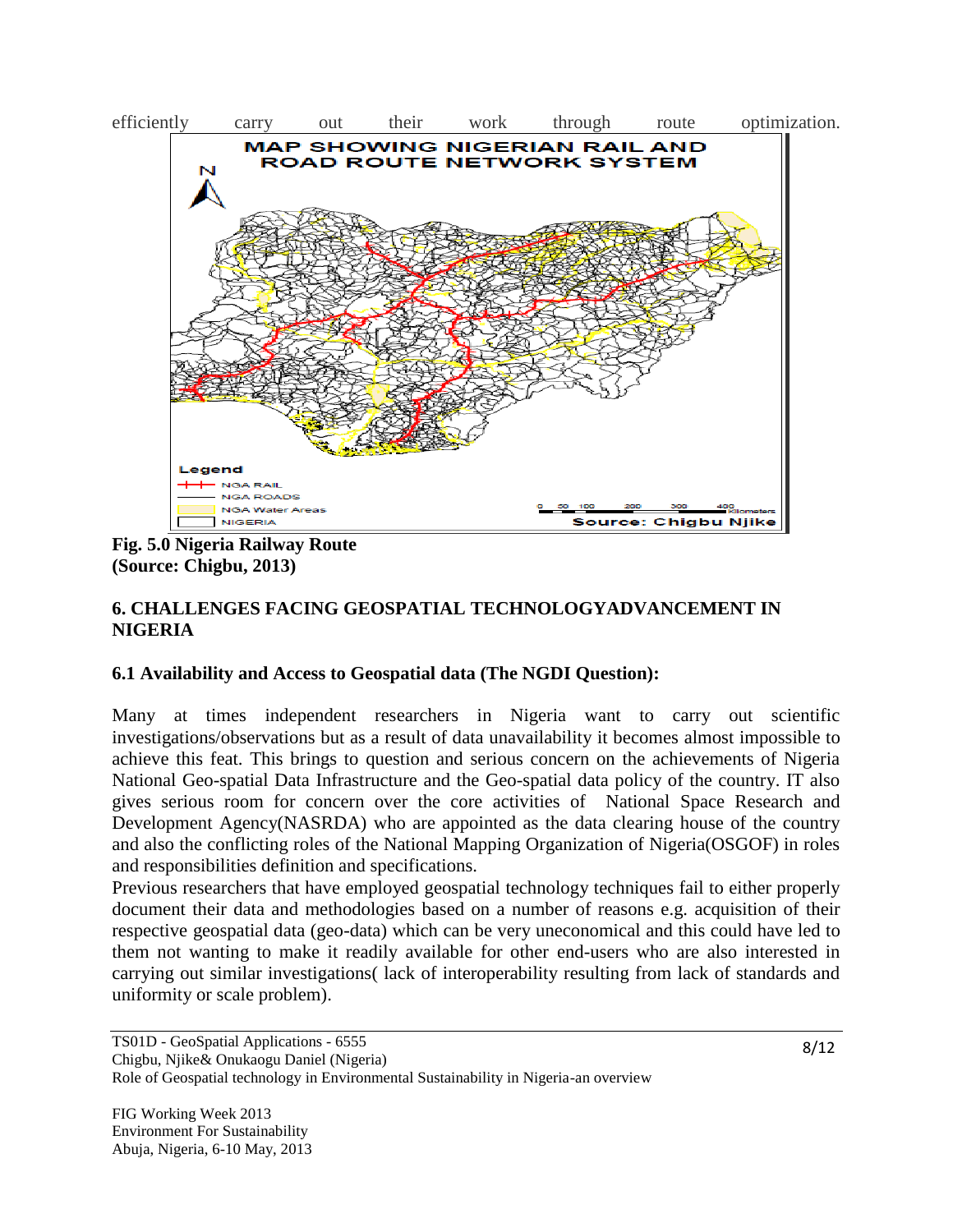

**Fig. 5.0 Nigeria Railway Route (Source: Chigbu, 2013)**

# **6. CHALLENGES FACING GEOSPATIAL TECHNOLOGYADVANCEMENT IN NIGERIA**

#### **6.1 Availability and Access to Geospatial data (The NGDI Question):**

Many at times independent researchers in Nigeria want to carry out scientific investigations/observations but as a result of data unavailability it becomes almost impossible to achieve this feat. This brings to question and serious concern on the achievements of Nigeria National Geo-spatial Data Infrastructure and the Geo-spatial data policy of the country. IT also gives serious room for concern over the core activities of National Space Research and Development Agency(NASRDA) who are appointed as the data clearing house of the country and also the conflicting roles of the National Mapping Organization of Nigeria(OSGOF) in roles and responsibilities definition and specifications.

Previous researchers that have employed geospatial technology techniques fail to either properly document their data and methodologies based on a number of reasons e.g. acquisition of their respective geospatial data (geo-data) which can be very uneconomical and this could have led to them not wanting to make it readily available for other end-users who are also interested in carrying out similar investigations( lack of interoperability resulting from lack of standards and uniformity or scale problem).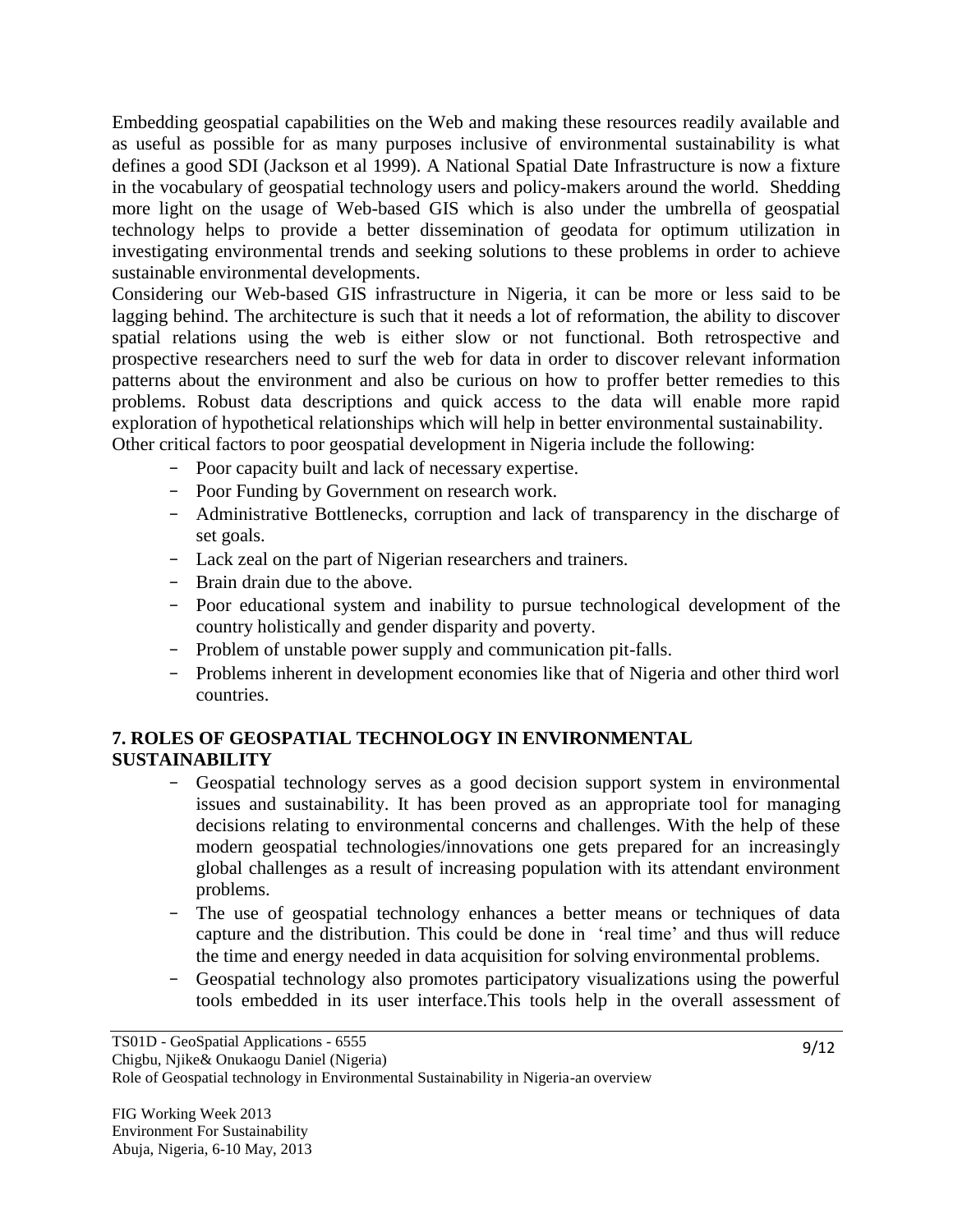Embedding geospatial capabilities on the Web and making these resources readily available and as useful as possible for as many purposes inclusive of environmental sustainability is what defines a good SDI (Jackson et al 1999). A National Spatial Date Infrastructure is now a fixture in the vocabulary of geospatial technology users and policy-makers around the world. Shedding more light on the usage of Web-based GIS which is also under the umbrella of geospatial technology helps to provide a better dissemination of geodata for optimum utilization in investigating environmental trends and seeking solutions to these problems in order to achieve sustainable environmental developments.

Considering our Web-based GIS infrastructure in Nigeria, it can be more or less said to be lagging behind. The architecture is such that it needs a lot of reformation, the ability to discover spatial relations using the web is either slow or not functional. Both retrospective and prospective researchers need to surf the web for data in order to discover relevant information patterns about the environment and also be curious on how to proffer better remedies to this problems. Robust data descriptions and quick access to the data will enable more rapid exploration of hypothetical relationships which will help in better environmental sustainability. Other critical factors to poor geospatial development in Nigeria include the following:

- Poor capacity built and lack of necessary expertise.
- Poor Funding by Government on research work.
- Administrative Bottlenecks, corruption and lack of transparency in the discharge of set goals.
- Lack zeal on the part of Nigerian researchers and trainers.
- Brain drain due to the above.
- Poor educational system and inability to pursue technological development of the country holistically and gender disparity and poverty.
- Problem of unstable power supply and communication pit-falls.
- Problems inherent in development economies like that of Nigeria and other third worl countries.

# **7. ROLES OF GEOSPATIAL TECHNOLOGY IN ENVIRONMENTAL SUSTAINABILITY**

- Geospatial technology serves as a good decision support system in environmental issues and sustainability. It has been proved as an appropriate tool for managing decisions relating to environmental concerns and challenges. With the help of these modern geospatial technologies/innovations one gets prepared for an increasingly global challenges as a result of increasing population with its attendant environment problems.
- The use of geospatial technology enhances a better means or techniques of data capture and the distribution. This could be done in 'real time' and thus will reduce the time and energy needed in data acquisition for solving environmental problems.
- Geospatial technology also promotes participatory visualizations using the powerful tools embedded in its user interface.This tools help in the overall assessment of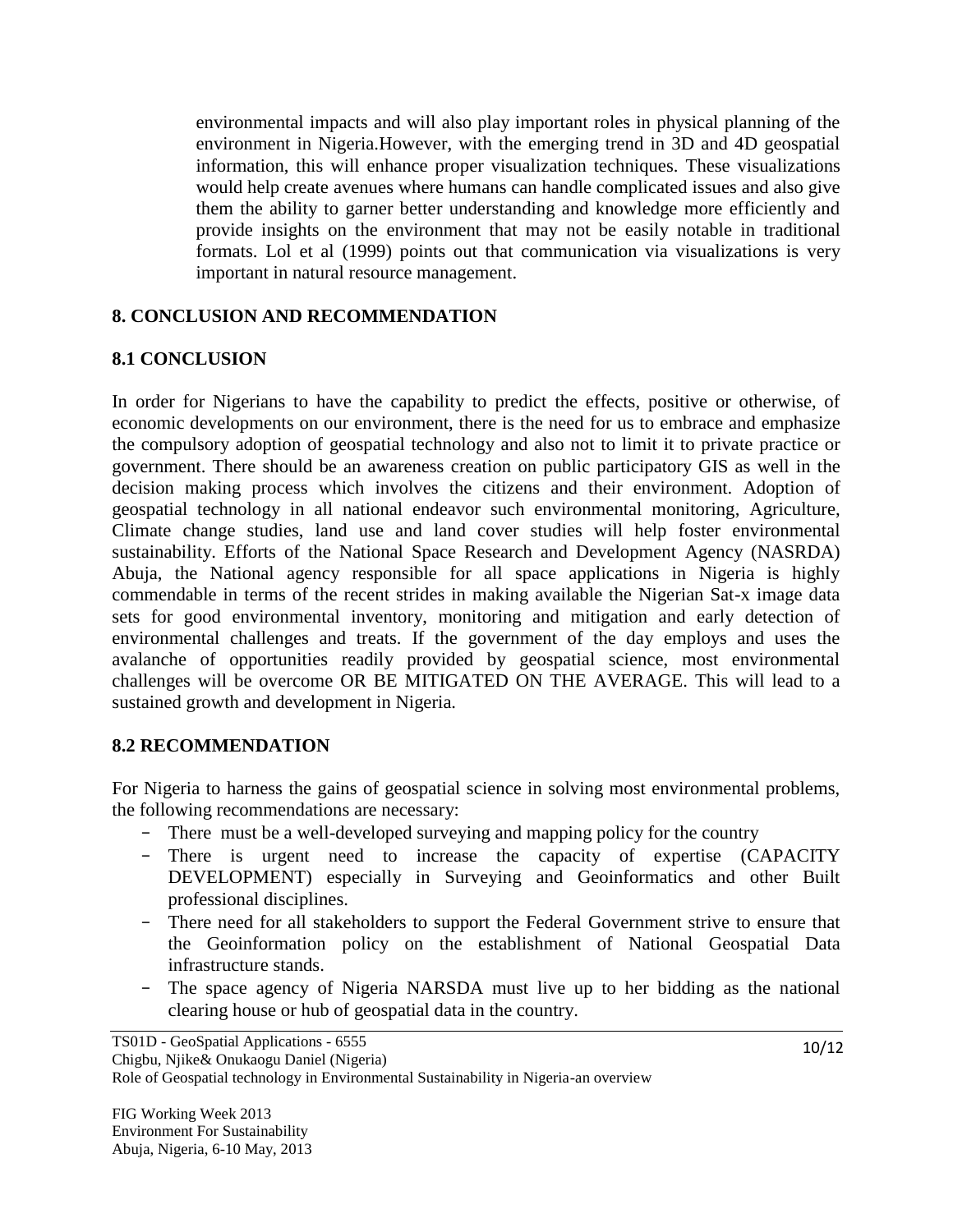environmental impacts and will also play important roles in physical planning of the environment in Nigeria.However, with the emerging trend in 3D and 4D geospatial information, this will enhance proper visualization techniques. These visualizations would help create avenues where humans can handle complicated issues and also give them the ability to garner better understanding and knowledge more efficiently and provide insights on the environment that may not be easily notable in traditional formats. Lol et al (1999) points out that communication via visualizations is very important in natural resource management.

#### **8. CONCLUSION AND RECOMMENDATION**

# **8.1 CONCLUSION**

In order for Nigerians to have the capability to predict the effects, positive or otherwise, of economic developments on our environment, there is the need for us to embrace and emphasize the compulsory adoption of geospatial technology and also not to limit it to private practice or government. There should be an awareness creation on public participatory GIS as well in the decision making process which involves the citizens and their environment. Adoption of geospatial technology in all national endeavor such environmental monitoring, Agriculture, Climate change studies, land use and land cover studies will help foster environmental sustainability. Efforts of the National Space Research and Development Agency (NASRDA) Abuja, the National agency responsible for all space applications in Nigeria is highly commendable in terms of the recent strides in making available the Nigerian Sat-x image data sets for good environmental inventory, monitoring and mitigation and early detection of environmental challenges and treats. If the government of the day employs and uses the avalanche of opportunities readily provided by geospatial science, most environmental challenges will be overcome OR BE MITIGATED ON THE AVERAGE. This will lead to a sustained growth and development in Nigeria.

#### **8.2 RECOMMENDATION**

For Nigeria to harness the gains of geospatial science in solving most environmental problems, the following recommendations are necessary:

- There must be a well-developed surveying and mapping policy for the country
- There is urgent need to increase the capacity of expertise (CAPACITY DEVELOPMENT) especially in Surveying and Geoinformatics and other Built professional disciplines.
- There need for all stakeholders to support the Federal Government strive to ensure that the Geoinformation policy on the establishment of National Geospatial Data infrastructure stands.
- The space agency of Nigeria NARSDA must live up to her bidding as the national clearing house or hub of geospatial data in the country.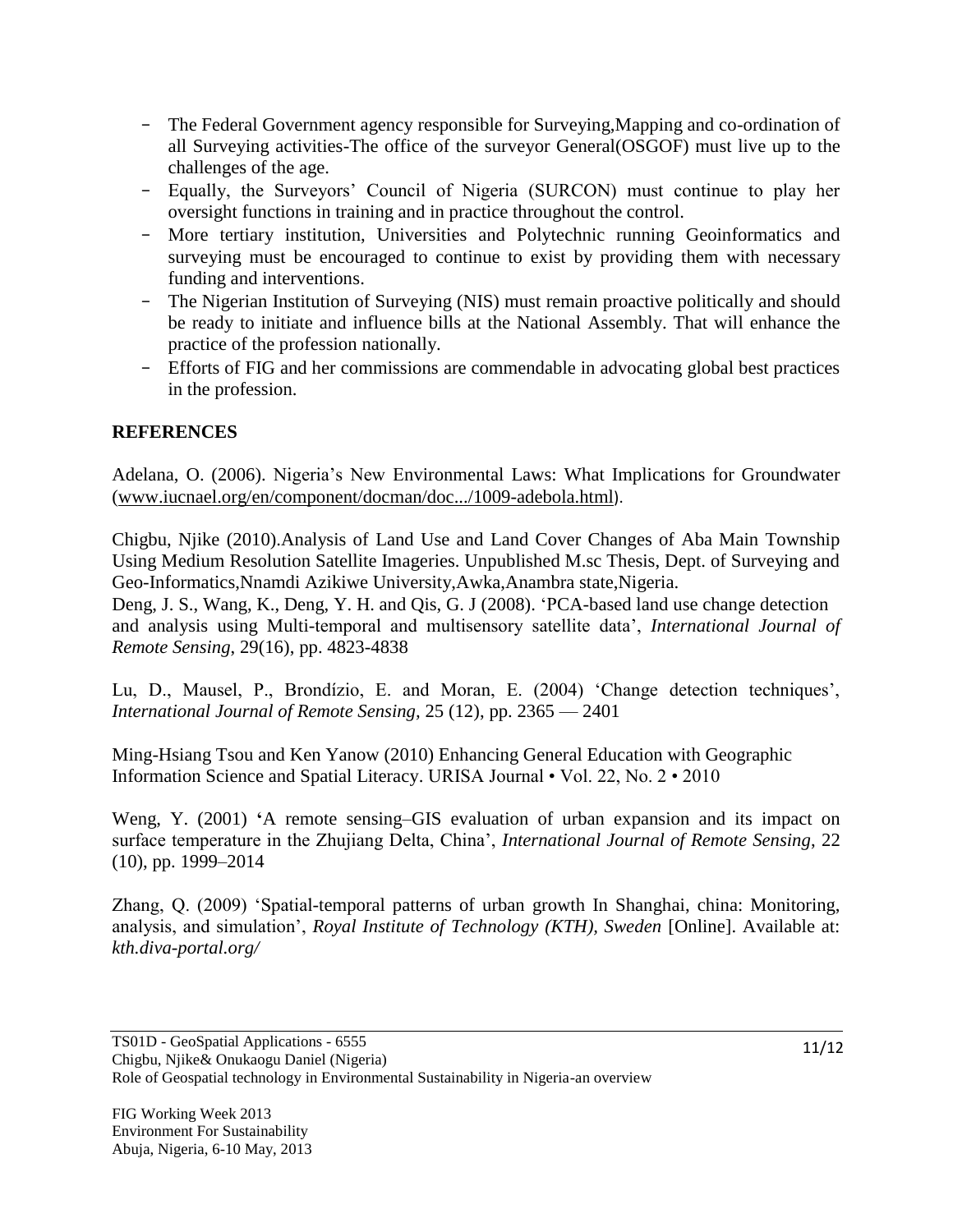- The Federal Government agency responsible for Surveying,Mapping and co-ordination of all Surveying activities-The office of the surveyor General(OSGOF) must live up to the challenges of the age.
- Equally, the Surveyors' Council of Nigeria (SURCON) must continue to play her oversight functions in training and in practice throughout the control.
- More tertiary institution, Universities and Polytechnic running Geoinformatics and surveying must be encouraged to continue to exist by providing them with necessary funding and interventions.
- The Nigerian Institution of Surveying (NIS) must remain proactive politically and should be ready to initiate and influence bills at the National Assembly. That will enhance the practice of the profession nationally.
- Efforts of FIG and her commissions are commendable in advocating global best practices in the profession.

# **REFERENCES**

Adelana, O. (2006). Nigeria's New Environmental Laws: What Implications for Groundwater [\(www.iucnael.org/en/component/docman/doc.../1009-adebola.html](http://www.iucnael.org/en/component/docman/doc.../1009-adebola.html)).

Chigbu, Njike (2010).Analysis of Land Use and Land Cover Changes of Aba Main Township Using Medium Resolution Satellite Imageries. Unpublished M.sc Thesis, Dept. of Surveying and Geo-Informatics,Nnamdi Azikiwe University,Awka,Anambra state,Nigeria.

Deng, J. S., Wang, K., Deng, Y. H. and Qis, G. J (2008). 'PCA-based land use change detection and analysis using Multi-temporal and multisensory satellite data', *International Journal of Remote Sensing*, 29(16), pp. 4823-4838

Lu, D., Mausel, P., Brondízio, E. and Moran, E. (2004) 'Change detection techniques', *International Journal of Remote Sensing,* 25 (12), pp. 2365 — 2401

Ming-Hsiang Tsou and Ken Yanow (2010) Enhancing General Education with Geographic Information Science and Spatial Literacy. URISA Journal • Vol. 22, No. 2 • 2010

Weng, Y. (2001) **'**A remote sensing–GIS evaluation of urban expansion and its impact on surface temperature in the Zhujiang Delta, China', *International Journal of Remote Sensing*, 22 (10), pp. 1999–2014

Zhang, Q. (2009) 'Spatial-temporal patterns of urban growth In Shanghai, china: Monitoring, analysis, and simulation', *Royal Institute of Technology (KTH), Sweden* [Online]. Available at: *kth.diva-portal.org/*